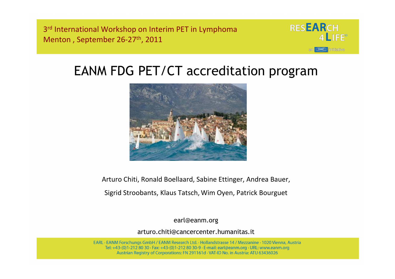3<sup>rd</sup> International Workshop on Interim PET in Lymphoma Menton , September 26-27th, 2011



### EANM FDG PET/CT accreditation program



Arturo Chiti, Ronald Boellaard, Sabine Ettinger, Andrea Bauer,

Sigrid Stroobants, Klaus Tatsch, Wim Oyen, Patrick Bourguet

earl@eanm.org

arturo.chiti@cancercenter.humanitas.it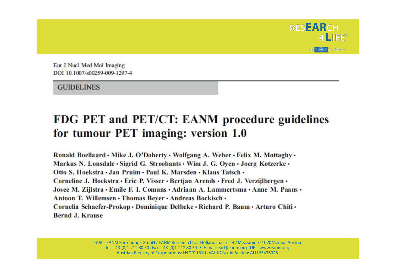

Eur J Nucl Med Mol Imaging DOI 10 1007/s00259-009-1297-4

**GUIDELINES** 

#### FDG PET and PET/CT: EANM procedure guidelines for tumour PET imaging: version 1.0

Ronald Boellaard . Mike J. O'Doherty . Wolfgang A. Weber . Felix M. Mottaghy . Markus N. Lonsdale · Sigrid G. Stroobants · Wim J. G. Oven · Joerg Kotzerke · Otto S. Hoekstra . Jan Pruim . Paul K. Marsden . Klaus Tatsch . Corneline J. Hoekstra • Eric P. Visser • Bertjan Arends • Fred J. Verzijlbergen • Josee M. Zijlstra • Emile F. I. Comans • Adriaan A. Lammertsma • Anne M. Paans • Antoon T. Willemsen · Thomas Bever · Andreas Bockisch · Cornelia Schaefer-Prokop · Dominique Delbeke · Richard P. Baum · Arturo Chiti · **Bernd J. Krause**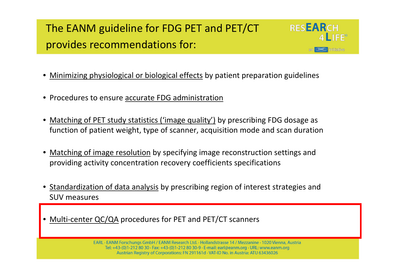#### The EANM guideline for FDG PET and PET/CT provides recommendations for:



- •**•** Minimizing physiological or biological effects by patient preparation guidelines
- Procedures to ensure accurate FDG administration
- •Matching of PET study statistics ('image quality') by prescribing FDG dosage as function of patient weight, type of scanner, acquisition mode and scan duration
- •**• Matching of image resolution by specifying image reconstruction settings and** providing activity concentration recovery coefficients specifications
- Standardization of data analysis by prescribing region of interest strategies and SUV measures
- •**• Multi-center QC/QA procedures for PET and PET/CT scanners**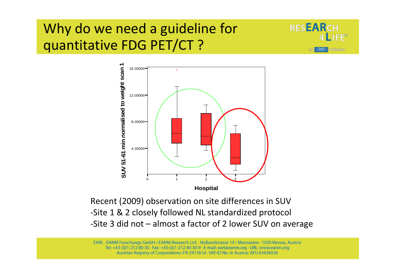### Why do we need a guideline for quantitative FDG PET/CT ?





Recent (2009) observation on site differences in SUV -Site 1 & 2 closely followed NL standardized protocol-Site 3 did not – almost a factor of 2 lower SUV on average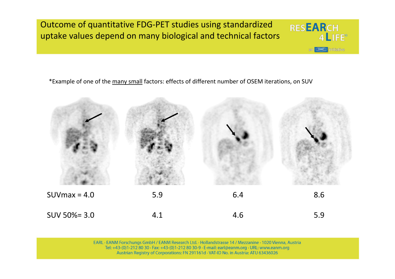Outcome of quantitative FDG-PET studies using standardized uptake values depend on many biological and technical factors

\*Example of one of the many small factors: effects of different number of OSEM iterations, on SUV



**RESEARCH** 

 $am$ 

 $4$  LIFE<sup>®</sup>

**CEANNED** initiative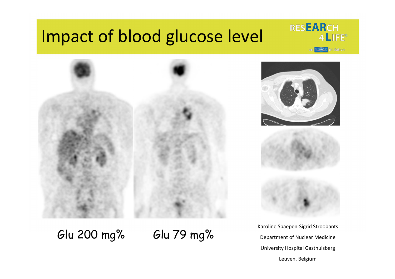# Impact of blood glucose level









Karoline Spaepen-Sigrid StroobantsDepartment of Nuclear MedicineUniversity Hospital GasthuisbergLeuven, Belgium

Glu 200 mg% Glu 79 mg%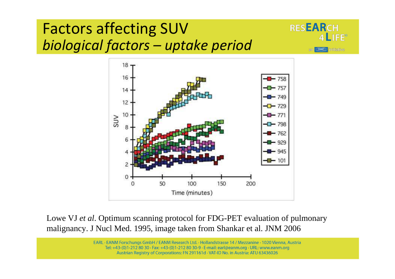# Factors affecting SUV*biological factors – uptake period*





Lowe VJ *et al*. Optimum scanning protocol for FDG-PET evaluation of pulmonary malignancy. J Nucl Med. 1995, image taken from Shankar et al. JNM 2006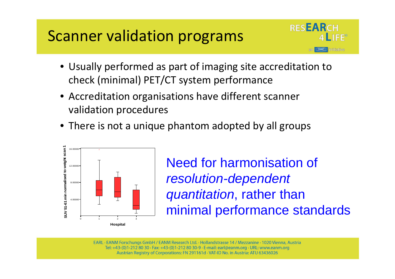# Scanner validation programs



- Usually performed as part of imaging site accreditation to check (minimal) PET/CT system performance
- Accreditation organisations have different scanner validation procedures
- There is not a unique phantom adopted by all groups



Need for harmonisation of resolution-dependent quantitation, rather than minimal performance standards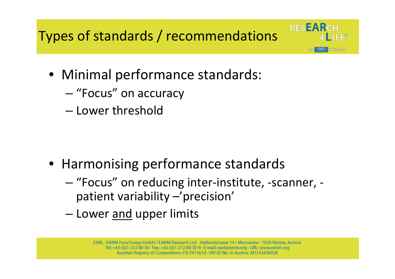Types of standards / recommendations

- Minimal performance standards:
	- and the state of the state — "Focus" on accuracy
	- –— Lower threshold

- Harmonising performance standards
	- – "Focus" on reducing inter-institute, -scanner, patient variability –'precision'

**RESEARCH** 

**IFF®** 

**Initiative** 

–— Lower <u>and</u> upper limits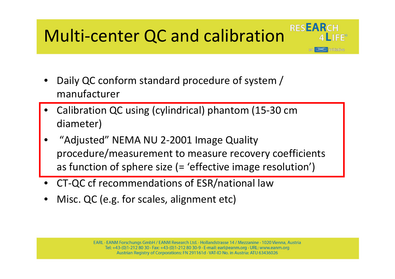#### RESEARCH Multi-center QC and calibration

- • Daily QC conform standard procedure of system / manufacturer
- • Calibration QC using (cylindrical) phantom (15-30 cm diameter)
- • "Adjusted" NEMA NU 2-2001 Image Quality procedure/measurement to measure recovery coefficients as function of sphere size (= 'effective image resolution')

initiative

- •CT-QC cf recommendations of ESR/national law
- •Misc. QC (e.g. for scales, alignment etc)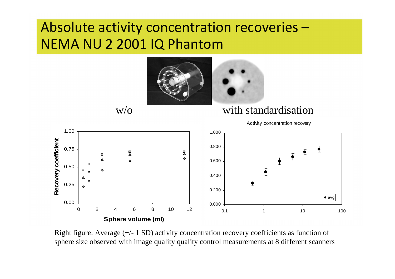### Absolute activity concentration recoveries –NEMA NU 2 2001 IQ Phantom



Right figure: Average (+/- 1 SD) activity concentration recovery coefficients as function of sphere size observed with image quality quality control measurements at 8 different scanners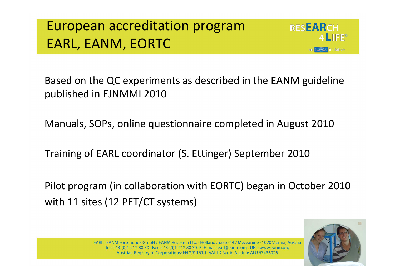## European accreditation programEARL, EANM, EORTC



Based on the QC experiments as described in the EANM guideline published in EJNMMI 2010

Manuals, SOPs, online questionnaire completed in August 2010

Training of EARL coordinator (S. Ettinger) September 2010

Pilot program (in collaboration with EORTC) began in October 2010with 11 sites (12 PET/CT systems)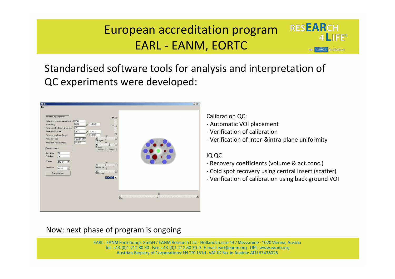#### European accreditation programEARL - EANM, EORTC

Standardised software tools for analysis and interpretation of QC experiments were developed:

| <b>B</b> IDL                                                                                                                                                                                                                                                                                                                                                                                                                                |                                                                                                                                                                                                                                                                                                            |                                                                                                                 |                          |                | $ \Box$        |
|---------------------------------------------------------------------------------------------------------------------------------------------------------------------------------------------------------------------------------------------------------------------------------------------------------------------------------------------------------------------------------------------------------------------------------------------|------------------------------------------------------------------------------------------------------------------------------------------------------------------------------------------------------------------------------------------------------------------------------------------------------------|-----------------------------------------------------------------------------------------------------------------|--------------------------|----------------|----------------|
| File<br>Phantom and Acq specs<br>Volume background compartment (ml) 9700<br>Dose (MBq)<br>Volume stock solution (ml) (spheres) 500<br>Dose (MBq) (spheres)<br>Act.conc. in spheres (Bq/cc)<br>Acquisition Date<br>Acquisition time (hh:mm:ss)<br>Processing specs<br>$\sqrt{20}$<br>Start plane<br>54<br>End plane<br>Phantom<br>$MC$ <sub>-IQ</sub><br>$\overline{\phantom{a}}$<br>Isocontour<br>A41%<br>$\blacksquare$<br>Processing Data | $\circ$ 14:52:40<br>59.64<br>26.65<br>◎ 14:54:00<br>$\overline{z}$<br>@[00.00.00]<br>$\mathbf{r}$<br>$\frac{1}{\text{Left-Right}}$<br>FriAug04_200<br>60<br>17:09:52<br>$\frac{1}{\sqrt{1}}$<br><b>SWAP</b> X<br>SWAP-Y<br>40<br>$\frac{1}{\text{Max} }$ Hensity<br>$\Omega$<br>$\frac{1}{1}$ Min Itensity | Up-Down<br>$-47 - 1$<br>$\blacktriangleright$<br>$\blacktriangleright$<br>×<br>$\blacktriangleright$<br>2D Mask |                          |                |                |
|                                                                                                                                                                                                                                                                                                                                                                                                                                             |                                                                                                                                                                                                                                                                                                            |                                                                                                                 | $\frac{1}{\text{Plane}}$ | $\frac{30}{1}$ | $\blacksquare$ |

Calibration QC:

- Automatic VOI placement

- Verification of calibration

- Verification of inter-&intra-plane uniformity

**RESEARCH** 

 $\blacktriangle$  IFF<sup>o</sup>

initiative

#### IQ QC

- Recovery coefficients (volume & act.conc.)
- Cold spot recovery using central insert (scatter)
- Verification of calibration using back ground VOI

#### Now: next phase of program is ongoing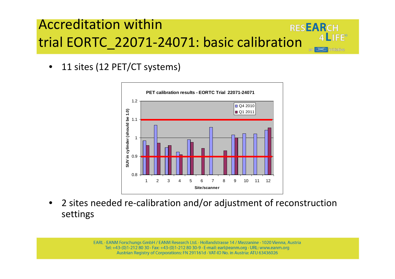#### Accreditation within**RESEARCH** trial EORTC\_22071-24071: basic calibration

•11 sites (12 PET/CT systems)



 $A$   $I$   $F^{\circ}$ 

**Initiative** 

 $\bullet$  2 sites needed re-calibration and/or adjustment of reconstruction settings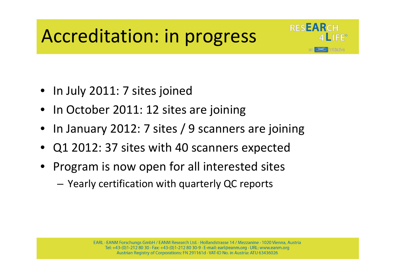# Accreditation: in progress



- In July 2011: 7 sites joined
- In October 2011: 12 sites are joining
- •In January 2012: 7 sites / 9 scanners are joining
- •Q1 2012: 37 sites with 40 scanners expected
- • Program is now open for all interested sites
	- – $-$  Yearly certification with quarterly QC reports